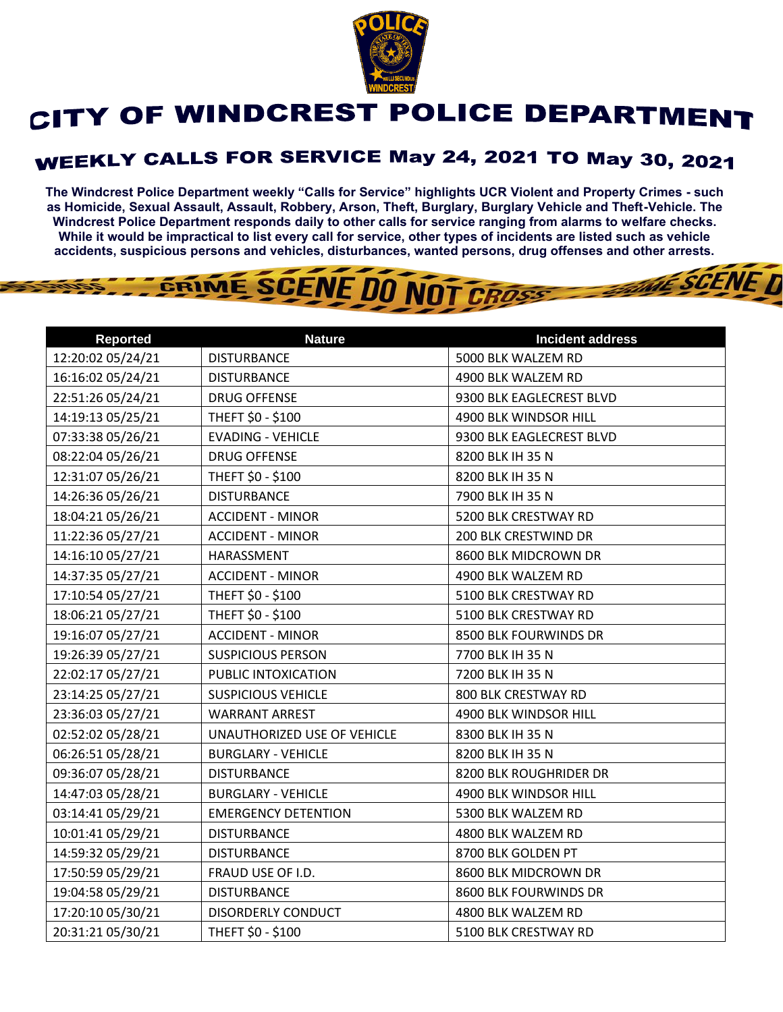

## CITY OF WINDCREST POLICE DEPARTMENT

## **WEEKLY CALLS FOR SERVICE May 24, 2021 TO May 30, 2021**

**The Windcrest Police Department weekly "Calls for Service" highlights UCR Violent and Property Crimes - such as Homicide, Sexual Assault, Assault, Robbery, Arson, Theft, Burglary, Burglary Vehicle and Theft-Vehicle. The Windcrest Police Department responds daily to other calls for service ranging from alarms to welfare checks. While it would be impractical to list every call for service, other types of incidents are listed such as vehicle accidents, suspicious persons and vehicles, disturbances, wanted persons, drug offenses and other arrests.** 

**THE SCENE D** 

## GRIME SCENE DO NOT CROSS

| <b>Reported</b>   | <b>Nature</b>               | <b>Incident address</b>  |
|-------------------|-----------------------------|--------------------------|
| 12:20:02 05/24/21 | <b>DISTURBANCE</b>          | 5000 BLK WALZEM RD       |
| 16:16:02 05/24/21 | <b>DISTURBANCE</b>          | 4900 BLK WALZEM RD       |
| 22:51:26 05/24/21 | <b>DRUG OFFENSE</b>         | 9300 BLK EAGLECREST BLVD |
| 14:19:13 05/25/21 | THEFT \$0 - \$100           | 4900 BLK WINDSOR HILL    |
| 07:33:38 05/26/21 | <b>EVADING - VEHICLE</b>    | 9300 BLK EAGLECREST BLVD |
| 08:22:04 05/26/21 | <b>DRUG OFFENSE</b>         | 8200 BLK IH 35 N         |
| 12:31:07 05/26/21 | THEFT \$0 - \$100           | 8200 BLK IH 35 N         |
| 14:26:36 05/26/21 | <b>DISTURBANCE</b>          | 7900 BLK IH 35 N         |
| 18:04:21 05/26/21 | <b>ACCIDENT - MINOR</b>     | 5200 BLK CRESTWAY RD     |
| 11:22:36 05/27/21 | <b>ACCIDENT - MINOR</b>     | 200 BLK CRESTWIND DR     |
| 14:16:10 05/27/21 | HARASSMENT                  | 8600 BLK MIDCROWN DR     |
| 14:37:35 05/27/21 | <b>ACCIDENT - MINOR</b>     | 4900 BLK WALZEM RD       |
| 17:10:54 05/27/21 | THEFT \$0 - \$100           | 5100 BLK CRESTWAY RD     |
| 18:06:21 05/27/21 | THEFT \$0 - \$100           | 5100 BLK CRESTWAY RD     |
| 19:16:07 05/27/21 | <b>ACCIDENT - MINOR</b>     | 8500 BLK FOURWINDS DR    |
| 19:26:39 05/27/21 | <b>SUSPICIOUS PERSON</b>    | 7700 BLK IH 35 N         |
| 22:02:17 05/27/21 | PUBLIC INTOXICATION         | 7200 BLK IH 35 N         |
| 23:14:25 05/27/21 | <b>SUSPICIOUS VEHICLE</b>   | 800 BLK CRESTWAY RD      |
| 23:36:03 05/27/21 | <b>WARRANT ARREST</b>       | 4900 BLK WINDSOR HILL    |
| 02:52:02 05/28/21 | UNAUTHORIZED USE OF VEHICLE | 8300 BLK IH 35 N         |
| 06:26:51 05/28/21 | <b>BURGLARY - VEHICLE</b>   | 8200 BLK IH 35 N         |
| 09:36:07 05/28/21 | <b>DISTURBANCE</b>          | 8200 BLK ROUGHRIDER DR   |
| 14:47:03 05/28/21 | <b>BURGLARY - VEHICLE</b>   | 4900 BLK WINDSOR HILL    |
| 03:14:41 05/29/21 | <b>EMERGENCY DETENTION</b>  | 5300 BLK WALZEM RD       |
| 10:01:41 05/29/21 | <b>DISTURBANCE</b>          | 4800 BLK WALZEM RD       |
| 14:59:32 05/29/21 | <b>DISTURBANCE</b>          | 8700 BLK GOLDEN PT       |
| 17:50:59 05/29/21 | FRAUD USE OF I.D.           | 8600 BLK MIDCROWN DR     |
| 19:04:58 05/29/21 | <b>DISTURBANCE</b>          | 8600 BLK FOURWINDS DR    |
| 17:20:10 05/30/21 | <b>DISORDERLY CONDUCT</b>   | 4800 BLK WALZEM RD       |
| 20:31:21 05/30/21 | THEFT \$0 - \$100           | 5100 BLK CRESTWAY RD     |